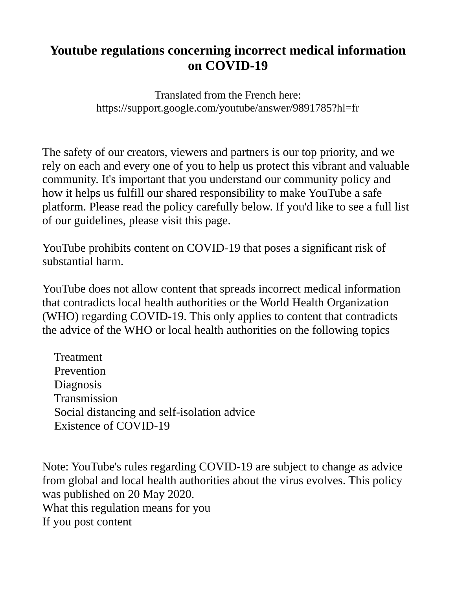## **Youtube regulations concerning incorrect medical information on COVID-19**

Translated from the French here: https://support.google.com/youtube/answer/9891785?hl=fr

The safety of our creators, viewers and partners is our top priority, and we rely on each and every one of you to help us protect this vibrant and valuable community. It's important that you understand our community policy and how it helps us fulfill our shared responsibility to make YouTube a safe platform. Please read the policy carefully below. If you'd like to see a full list of our guidelines, please visit this page.

YouTube prohibits content on COVID-19 that poses a significant risk of substantial harm.

YouTube does not allow content that spreads incorrect medical information that contradicts local health authorities or the World Health Organization (WHO) regarding COVID-19. This only applies to content that contradicts the advice of the WHO or local health authorities on the following topics

**Treatment**  Prevention Diagnosis **Transmission**  Social distancing and self-isolation advice Existence of COVID-19

Note: YouTube's rules regarding COVID-19 are subject to change as advice from global and local health authorities about the virus evolves. This policy was published on 20 May 2020. What this regulation means for you If you post content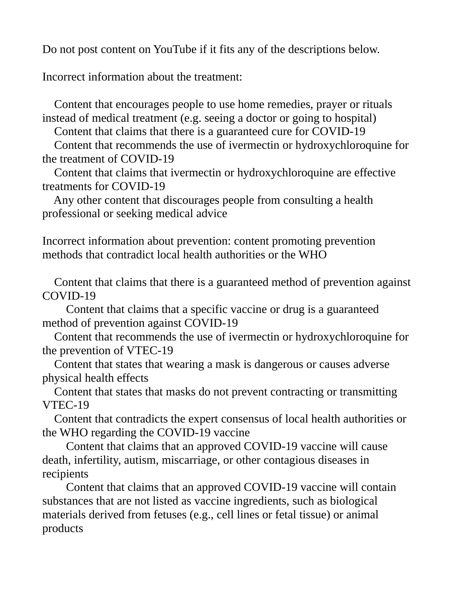Do not post content on YouTube if it fits any of the descriptions below.

Incorrect information about the treatment:

 Content that encourages people to use home remedies, prayer or rituals instead of medical treatment (e.g. seeing a doctor or going to hospital)

Content that claims that there is a guaranteed cure for COVID-19

 Content that recommends the use of ivermectin or hydroxychloroquine for the treatment of COVID-19

 Content that claims that ivermectin or hydroxychloroquine are effective treatments for COVID-19

 Any other content that discourages people from consulting a health professional or seeking medical advice

Incorrect information about prevention: content promoting prevention methods that contradict local health authorities or the WHO

 Content that claims that there is a guaranteed method of prevention against COVID-19

 Content that claims that a specific vaccine or drug is a guaranteed method of prevention against COVID-19

 Content that recommends the use of ivermectin or hydroxychloroquine for the prevention of VTEC-19

 Content that states that wearing a mask is dangerous or causes adverse physical health effects

 Content that states that masks do not prevent contracting or transmitting VTEC-19

 Content that contradicts the expert consensus of local health authorities or the WHO regarding the COVID-19 vaccine

 Content that claims that an approved COVID-19 vaccine will cause death, infertility, autism, miscarriage, or other contagious diseases in recipients

 Content that claims that an approved COVID-19 vaccine will contain substances that are not listed as vaccine ingredients, such as biological materials derived from fetuses (e.g., cell lines or fetal tissue) or animal products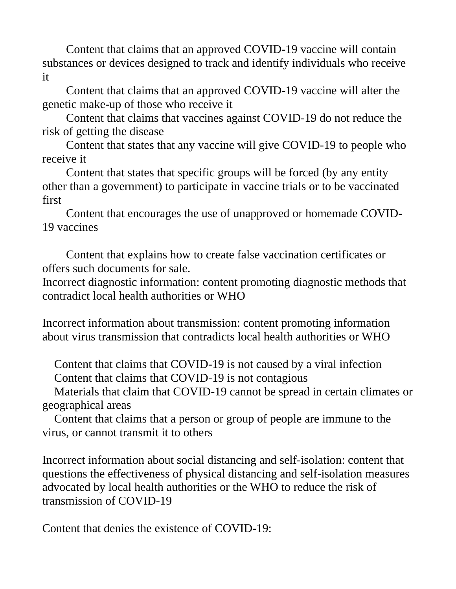Content that claims that an approved COVID-19 vaccine will contain substances or devices designed to track and identify individuals who receive it

 Content that claims that an approved COVID-19 vaccine will alter the genetic make-up of those who receive it

 Content that claims that vaccines against COVID-19 do not reduce the risk of getting the disease

 Content that states that any vaccine will give COVID-19 to people who receive it

 Content that states that specific groups will be forced (by any entity other than a government) to participate in vaccine trials or to be vaccinated first

 Content that encourages the use of unapproved or homemade COVID-19 vaccines

 Content that explains how to create false vaccination certificates or offers such documents for sale.

Incorrect diagnostic information: content promoting diagnostic methods that contradict local health authorities or WHO

Incorrect information about transmission: content promoting information about virus transmission that contradicts local health authorities or WHO

 Content that claims that COVID-19 is not caused by a viral infection Content that claims that COVID-19 is not contagious

 Materials that claim that COVID-19 cannot be spread in certain climates or geographical areas

 Content that claims that a person or group of people are immune to the virus, or cannot transmit it to others

Incorrect information about social distancing and self-isolation: content that questions the effectiveness of physical distancing and self-isolation measures advocated by local health authorities or the WHO to reduce the risk of transmission of COVID-19

Content that denies the existence of COVID-19: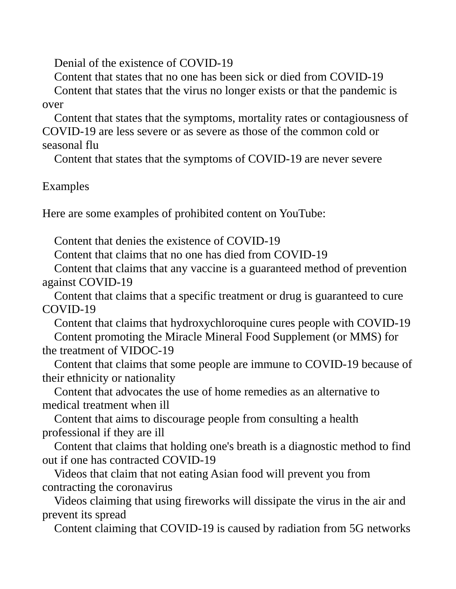Denial of the existence of COVID-19

Content that states that no one has been sick or died from COVID-19

 Content that states that the virus no longer exists or that the pandemic is over

 Content that states that the symptoms, mortality rates or contagiousness of COVID-19 are less severe or as severe as those of the common cold or seasonal flu

Content that states that the symptoms of COVID-19 are never severe

## Examples

Here are some examples of prohibited content on YouTube:

Content that denies the existence of COVID-19

Content that claims that no one has died from COVID-19

 Content that claims that any vaccine is a guaranteed method of prevention against COVID-19

 Content that claims that a specific treatment or drug is guaranteed to cure COVID-19

 Content that claims that hydroxychloroquine cures people with COVID-19 Content promoting the Miracle Mineral Food Supplement (or MMS) for the treatment of VIDOC-19

 Content that claims that some people are immune to COVID-19 because of their ethnicity or nationality

 Content that advocates the use of home remedies as an alternative to medical treatment when ill

 Content that aims to discourage people from consulting a health professional if they are ill

 Content that claims that holding one's breath is a diagnostic method to find out if one has contracted COVID-19

 Videos that claim that not eating Asian food will prevent you from contracting the coronavirus

 Videos claiming that using fireworks will dissipate the virus in the air and prevent its spread

Content claiming that COVID-19 is caused by radiation from 5G networks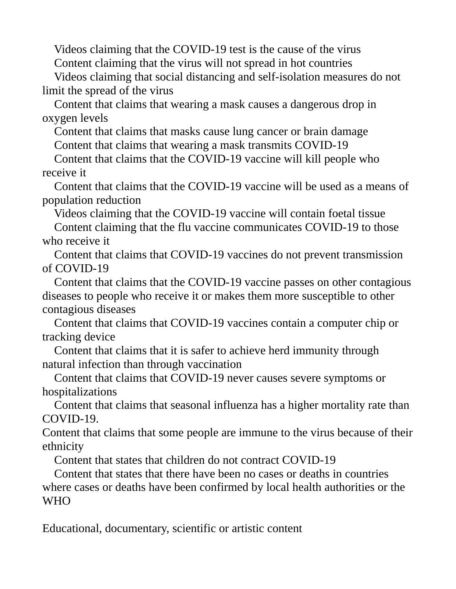Videos claiming that the COVID-19 test is the cause of the virus Content claiming that the virus will not spread in hot countries

 Videos claiming that social distancing and self-isolation measures do not limit the spread of the virus

 Content that claims that wearing a mask causes a dangerous drop in oxygen levels

Content that claims that masks cause lung cancer or brain damage

Content that claims that wearing a mask transmits COVID-19

 Content that claims that the COVID-19 vaccine will kill people who receive it

 Content that claims that the COVID-19 vaccine will be used as a means of population reduction

 Videos claiming that the COVID-19 vaccine will contain foetal tissue Content claiming that the flu vaccine communicates COVID-19 to those who receive it

 Content that claims that COVID-19 vaccines do not prevent transmission of COVID-19

 Content that claims that the COVID-19 vaccine passes on other contagious diseases to people who receive it or makes them more susceptible to other contagious diseases

 Content that claims that COVID-19 vaccines contain a computer chip or tracking device

 Content that claims that it is safer to achieve herd immunity through natural infection than through vaccination

 Content that claims that COVID-19 never causes severe symptoms or hospitalizations

 Content that claims that seasonal influenza has a higher mortality rate than COVID-19.

Content that claims that some people are immune to the virus because of their ethnicity

Content that states that children do not contract COVID-19

 Content that states that there have been no cases or deaths in countries where cases or deaths have been confirmed by local health authorities or the WHO

Educational, documentary, scientific or artistic content